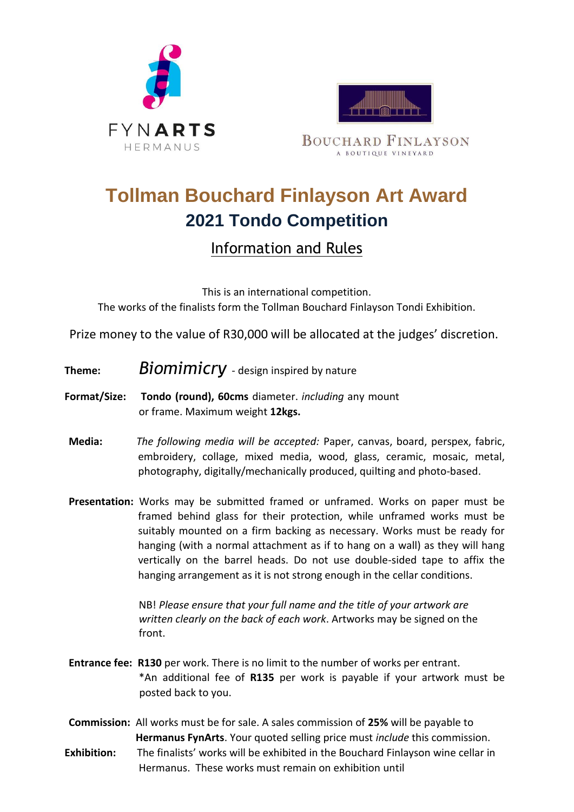



**BOUCHARD FINLAYSON** A BOUTIQUE VINEYARD

## **Tollman Bouchard Finlayson Art Award 2021 Tondo Competition**

## Information and Rules

This is an international competition. The works of the finalists form the Tollman Bouchard Finlayson Tondi Exhibition.

Prize money to the value of R30,000 will be allocated at the judges' discretion.

- **Theme:** *Biomimicry*  design inspired by nature
- **Format/Size: Tondo (round), 60cms** diameter. *including* any mount or frame. Maximum weight **12kgs.**
- **Media:** *The following media will be accepted:* Paper, canvas, board, perspex, fabric, embroidery, collage, mixed media, wood, glass, ceramic, mosaic, metal, photography, digitally/mechanically produced, quilting and photo-based.
- **Presentation:** Works may be submitted framed or unframed. Works on paper must be framed behind glass for their protection, while unframed works must be suitably mounted on a firm backing as necessary. Works must be ready for hanging (with a normal attachment as if to hang on a wall) as they will hang vertically on the barrel heads. Do not use double-sided tape to affix the hanging arrangement as it is not strong enough in the cellar conditions.

NB! *Please ensure that your full name and the title of your artwork are written clearly on the back of each work*. Artworks may be signed on the front.

- **Entrance fee: R130** per work. There is no limit to the number of works per entrant. \*An additional fee of **R135** per work is payable if your artwork must be posted back to you.
- **Commission:** All works must be for sale. A sales commission of **25%** will be payable to  **Hermanus FynArts**. Your quoted selling price must *include* this commission. **Exhibition:** The finalists' works will be exhibited in the Bouchard Finlayson wine cellar in Hermanus. These works must remain on exhibition until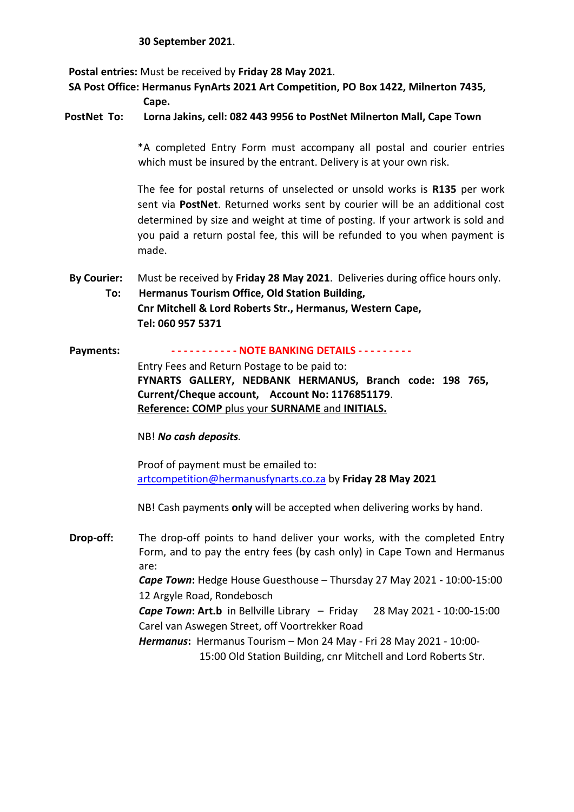## **30 September 2021**.

**Postal entries:** Must be received by **Friday 28 May 2021**.

**SA Post Office: Hermanus FynArts 2021 Art Competition, PO Box 1422, Milnerton 7435,** 

**Cape.** 

**PostNet To: Lorna Jakins, cell: 082 443 9956 to PostNet Milnerton Mall, Cape Town** 

\*A completed Entry Form must accompany all postal and courier entries which must be insured by the entrant. Delivery is at your own risk.

The fee for postal returns of unselected or unsold works is **R135** per work sent via **PostNet**. Returned works sent by courier will be an additional cost determined by size and weight at time of posting. If your artwork is sold and you paid a return postal fee, this will be refunded to you when payment is made.

**By Courier:** Must be received by **Friday 28 May 2021**. Deliveries during office hours only.

**To: Hermanus Tourism Office, Old Station Building, Cnr Mitchell & Lord Roberts Str., Hermanus, Western Cape, Tel: 060 957 5371** 

## **Payments: - - - - - - - - - - - NOTE BANKING DETAILS - - - - - - - - -**

Entry Fees and Return Postage to be paid to: **FYNARTS GALLERY, NEDBANK HERMANUS, Branch code: 198 765, Current/Cheque account, Account No: 1176851179**. **Reference: COMP** plus your **SURNAME** and **INITIALS.**

NB! *No cash deposits.* 

Proof of payment must be emailed to: artcompetition@hermanusfynarts.co.za by **Friday 28 May 2021** 

NB! Cash payments **only** will be accepted when delivering works by hand.

**Drop-off:** The drop-off points to hand deliver your works, with the completed Entry Form, and to pay the entry fees (by cash only) in Cape Town and Hermanus are: *Cape Town***:** Hedge House Guesthouse – Thursday 27 May 2021 - 10:00-15:00 12 Argyle Road, Rondebosch *Cape Town***: Art.b** in Bellville Library – Friday 28 May 2021 - 10:00-15:00 Carel van Aswegen Street, off Voortrekker Road *Hermanus***:** Hermanus Tourism – Mon 24 May - Fri 28 May 2021 - 10:00- 15:00 Old Station Building, cnr Mitchell and Lord Roberts Str.